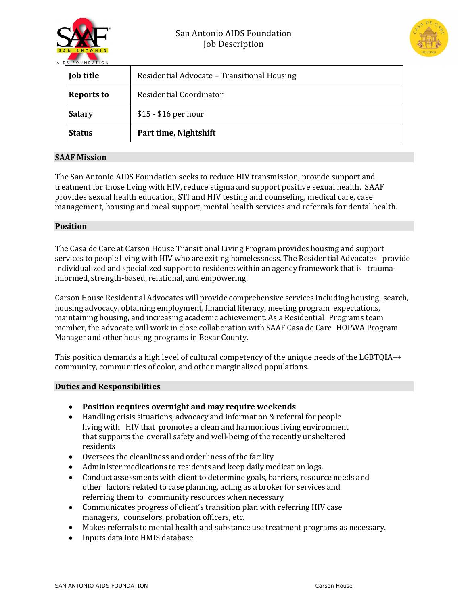



| <b>Job title</b>  | Residential Advocate - Transitional Housing |
|-------------------|---------------------------------------------|
| <b>Reports to</b> | Residential Coordinator                     |
| <b>Salary</b>     | $$15 - $16$ per hour                        |
| <b>Status</b>     | Part time, Nightshift                       |

## **SAAF Mission**

The San Antonio AIDS Foundation seeks to reduce HIV transmission, provide support and treatment for those living with HIV, reduce stigma and support positive sexual health. SAAF provides sexual health education, STI and HIV testing and counseling, medical care, case management, housing and meal support, mental health services and referrals for dental health.

### **Position**

The Casa de Care at Carson House Transitional Living Program provides housing and support services to people living with HIV who are exiting homelessness. The Residential Advocates provide individualized and specialized support to residents within an agency framework that is traumainformed, strength-based, relational, and empowering.

Carson House Residential Advocates will provide comprehensive services including housing search, housing advocacy, obtaining employment, financial literacy, meeting program expectations, maintaining housing, and increasing academic achievement. As a Residential Programs team member, the advocate will work in close collaboration with SAAF Casa de Care HOPWA Program Manager and other housing programs in Bexar County.

This position demands a high level of cultural competency of the unique needs of the LGBTQIA++ community, communities of color, and other marginalized populations.

## **Duties and Responsibilities**

- Position requires overnight and may require weekends
- Handling crisis situations, advocacy and information & referral for people living with HIV that promotes a clean and harmonious living environment that supports the overall safety and well-being of the recently unsheltered residents
- Oversees the cleanliness and orderliness of the facility
- Administer medications to residents and keep daily medication logs.
- Conduct assessments with client to determine goals, barriers, resource needs and other factors related to case planning, acting as a broker for services and referring them to community resources when necessary
- Communicates progress of client's transition plan with referring HIV case managers, counselors, probation officers, etc.
- Makes referrals to mental health and substance use treatment programs as necessary.
- Inputs data into HMIS database.